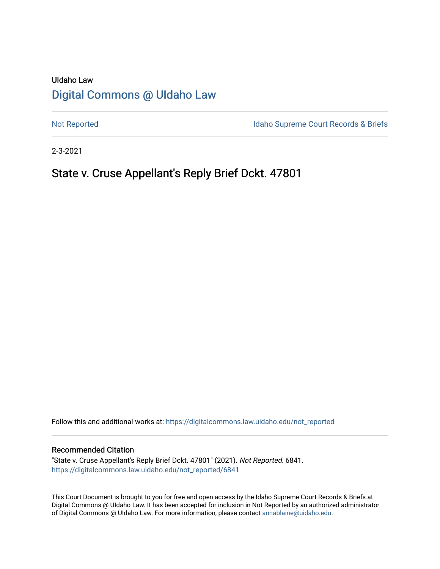# UIdaho Law [Digital Commons @ UIdaho Law](https://digitalcommons.law.uidaho.edu/)

[Not Reported](https://digitalcommons.law.uidaho.edu/not_reported) **Idaho Supreme Court Records & Briefs** 

2-3-2021

# State v. Cruse Appellant's Reply Brief Dckt. 47801

Follow this and additional works at: [https://digitalcommons.law.uidaho.edu/not\\_reported](https://digitalcommons.law.uidaho.edu/not_reported?utm_source=digitalcommons.law.uidaho.edu%2Fnot_reported%2F6841&utm_medium=PDF&utm_campaign=PDFCoverPages) 

#### Recommended Citation

"State v. Cruse Appellant's Reply Brief Dckt. 47801" (2021). Not Reported. 6841. [https://digitalcommons.law.uidaho.edu/not\\_reported/6841](https://digitalcommons.law.uidaho.edu/not_reported/6841?utm_source=digitalcommons.law.uidaho.edu%2Fnot_reported%2F6841&utm_medium=PDF&utm_campaign=PDFCoverPages)

This Court Document is brought to you for free and open access by the Idaho Supreme Court Records & Briefs at Digital Commons @ UIdaho Law. It has been accepted for inclusion in Not Reported by an authorized administrator of Digital Commons @ UIdaho Law. For more information, please contact [annablaine@uidaho.edu](mailto:annablaine@uidaho.edu).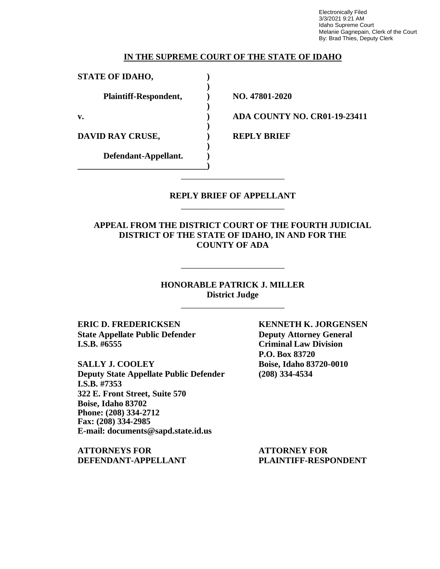Electronically Filed 3/3/2021 9:21 AM Idaho Supreme Court Melanie Gagnepain, Clerk of the Court By: Brad Thies, Deputy Clerk

### **IN THE SUPREME COURT OF THE STATE OF IDAHO**

**)**

**)**

**)**

**)**

**STATE OF IDAHO, ) Plaintiff-Respondent, ) NO. 47801-2020**

**DAVID RAY CRUSE,**  $\qquad \qquad$  **<b>REPLY BRIEF** 

**Defendant-Appellant. ) \_\_\_\_\_\_\_\_\_\_\_\_\_\_\_\_\_\_\_\_\_\_\_\_\_\_\_\_\_\_)**

**v. ) ADA COUNTY NO. CR01-19-23411**

## **REPLY BRIEF OF APPELLANT** \_\_\_\_\_\_\_\_\_\_\_\_\_\_\_\_\_\_\_\_\_\_\_\_

\_\_\_\_\_\_\_\_\_\_\_\_\_\_\_\_\_\_\_\_\_\_\_\_

**APPEAL FROM THE DISTRICT COURT OF THE FOURTH JUDICIAL DISTRICT OF THE STATE OF IDAHO, IN AND FOR THE COUNTY OF ADA**

> **HONORABLE PATRICK J. MILLER District Judge**

> > \_\_\_\_\_\_\_\_\_\_\_\_\_\_\_\_\_\_\_\_\_\_\_\_

\_\_\_\_\_\_\_\_\_\_\_\_\_\_\_\_\_\_\_\_\_\_\_\_

**ERIC D. FREDERICKSEN KENNETH K. JORGENSEN State Appellate Public Defender Deputy Attorney General I.S.B. #6555 Criminal Law Division**

**SALLY J. COOLEY Boise, Idaho 83720-0010 Deputy State Appellate Public Defender (208) 334-4534 I.S.B. #7353 322 E. Front Street, Suite 570 Boise, Idaho 83702 Phone: (208) 334-2712 Fax: (208) 334-2985 E-mail: documents@sapd.state.id.us**

**ATTORNEYS FOR ATTORNEY FOR DEFENDANT-APPELLANT PLAINTIFF-RESPONDENT**

**P.O. Box 83720**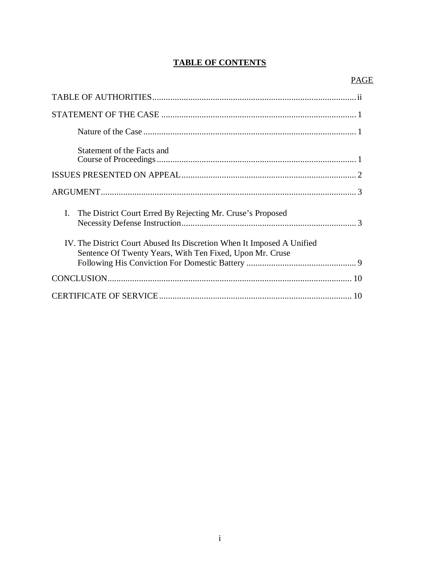# **TABLE OF CONTENTS**

| Statement of the Facts and                                                                                                         |
|------------------------------------------------------------------------------------------------------------------------------------|
|                                                                                                                                    |
|                                                                                                                                    |
| I.<br>The District Court Erred By Rejecting Mr. Cruse's Proposed                                                                   |
| IV. The District Court Abused Its Discretion When It Imposed A Unified<br>Sentence Of Twenty Years, With Ten Fixed, Upon Mr. Cruse |
|                                                                                                                                    |
|                                                                                                                                    |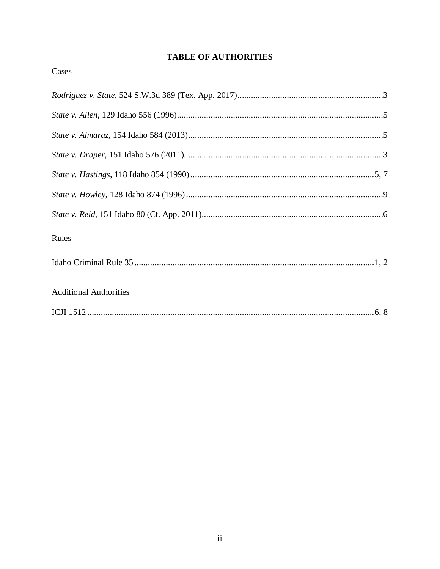# **TABLE OF AUTHORITIES**

# Cases

| <b>Rules</b>                  |
|-------------------------------|
|                               |
| <b>Additional Authorities</b> |
|                               |
|                               |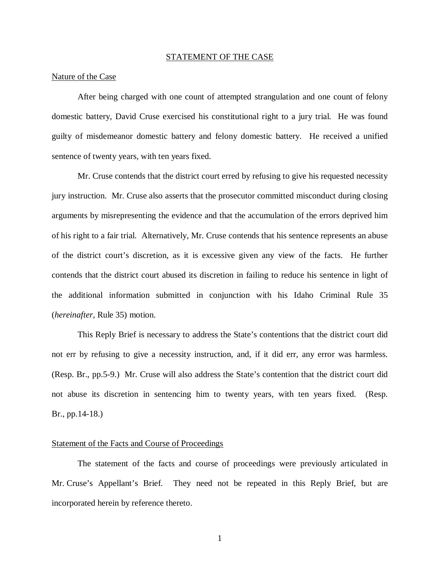#### STATEMENT OF THE CASE

#### Nature of the Case

After being charged with one count of attempted strangulation and one count of felony domestic battery, David Cruse exercised his constitutional right to a jury trial. He was found guilty of misdemeanor domestic battery and felony domestic battery. He received a unified sentence of twenty years, with ten years fixed.

Mr. Cruse contends that the district court erred by refusing to give his requested necessity jury instruction. Mr. Cruse also asserts that the prosecutor committed misconduct during closing arguments by misrepresenting the evidence and that the accumulation of the errors deprived him of his right to a fair trial. Alternatively, Mr. Cruse contends that his sentence represents an abuse of the district court's discretion, as it is excessive given any view of the facts. He further contends that the district court abused its discretion in failing to reduce his sentence in light of the additional information submitted in conjunction with his Idaho Criminal Rule 35 (*hereinafter*, Rule 35) motion.

This Reply Brief is necessary to address the State's contentions that the district court did not err by refusing to give a necessity instruction, and, if it did err, any error was harmless. (Resp. Br., pp.5-9.) Mr. Cruse will also address the State's contention that the district court did not abuse its discretion in sentencing him to twenty years, with ten years fixed. (Resp. Br., pp.14-18.)

#### Statement of the Facts and Course of Proceedings

The statement of the facts and course of proceedings were previously articulated in Mr. Cruse's Appellant's Brief. They need not be repeated in this Reply Brief, but are incorporated herein by reference thereto.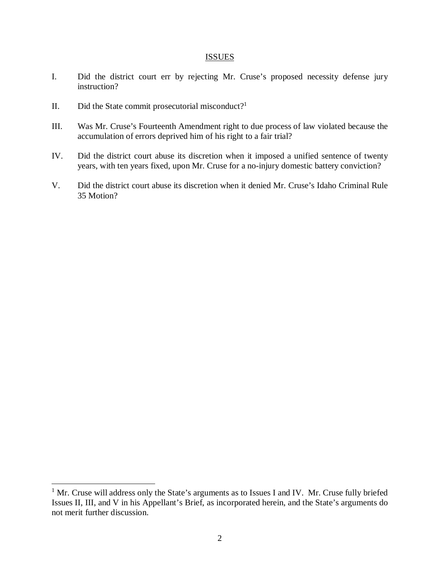#### **ISSUES**

- I. Did the district court err by rejecting Mr. Cruse's proposed necessity defense jury instruction?
- II. Did the State commit prosecutorial misconduct?<sup>[1](#page-5-0)</sup>
- III. Was Mr. Cruse's Fourteenth Amendment right to due process of law violated because the accumulation of errors deprived him of his right to a fair trial?
- IV. Did the district court abuse its discretion when it imposed a unified sentence of twenty years, with ten years fixed, upon Mr. Cruse for a no-injury domestic battery conviction?
- V. Did the district court abuse its discretion when it denied Mr. Cruse's Idaho Criminal Rule 35 Motion?

<span id="page-5-0"></span><sup>&</sup>lt;sup>1</sup> Mr. Cruse will address only the State's arguments as to Issues I and IV. Mr. Cruse fully briefed Issues II, III, and V in his Appellant's Brief, as incorporated herein, and the State's arguments do not merit further discussion.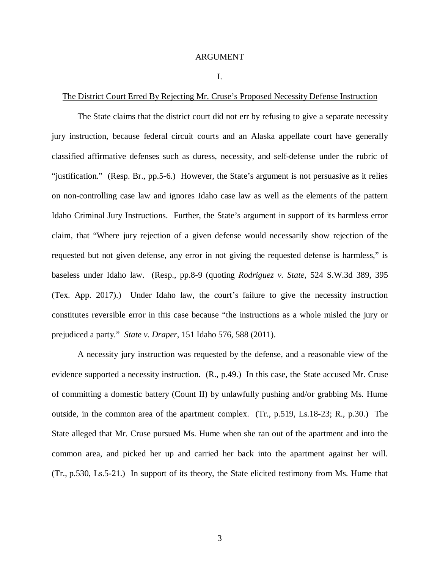## ARGUMENT

#### I.

#### The District Court Erred By Rejecting Mr. Cruse's Proposed Necessity Defense Instruction

The State claims that the district court did not err by refusing to give a separate necessity jury instruction, because federal circuit courts and an Alaska appellate court have generally classified affirmative defenses such as duress, necessity, and self-defense under the rubric of "justification." (Resp. Br., pp.5-6.) However, the State's argument is not persuasive as it relies on non-controlling case law and ignores Idaho case law as well as the elements of the pattern Idaho Criminal Jury Instructions. Further, the State's argument in support of its harmless error claim, that "Where jury rejection of a given defense would necessarily show rejection of the requested but not given defense, any error in not giving the requested defense is harmless," is baseless under Idaho law. (Resp., pp.8-9 (quoting *Rodriguez v. State*, 524 S.W.3d 389, 395 (Tex. App. 2017).) Under Idaho law, the court's failure to give the necessity instruction constitutes reversible error in this case because "the instructions as a whole misled the jury or prejudiced a party." *State v. Draper*, 151 Idaho 576, 588 (2011).

A necessity jury instruction was requested by the defense, and a reasonable view of the evidence supported a necessity instruction. (R., p.49.) In this case, the State accused Mr. Cruse of committing a domestic battery (Count II) by unlawfully pushing and/or grabbing Ms. Hume outside, in the common area of the apartment complex. (Tr., p.519, Ls.18-23; R., p.30.) The State alleged that Mr. Cruse pursued Ms. Hume when she ran out of the apartment and into the common area, and picked her up and carried her back into the apartment against her will. (Tr., p.530, Ls.5-21.) In support of its theory, the State elicited testimony from Ms. Hume that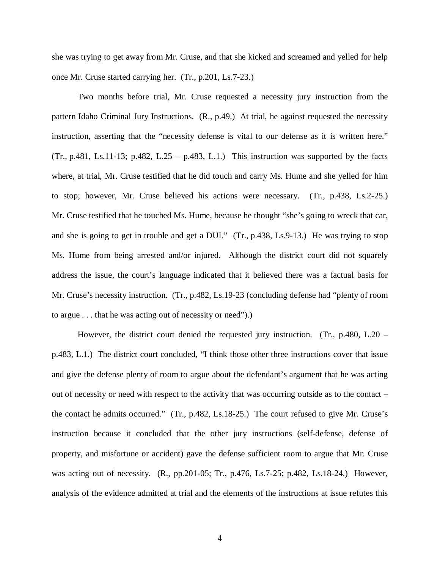she was trying to get away from Mr. Cruse, and that she kicked and screamed and yelled for help once Mr. Cruse started carrying her. (Tr., p.201, Ls.7-23.)

Two months before trial, Mr. Cruse requested a necessity jury instruction from the pattern Idaho Criminal Jury Instructions. (R., p.49.) At trial, he against requested the necessity instruction, asserting that the "necessity defense is vital to our defense as it is written here."  $(Tr., p.481, Ls.11-13; p.482, L.25 - p.483, L.1.)$  This instruction was supported by the facts where, at trial, Mr. Cruse testified that he did touch and carry Ms. Hume and she yelled for him to stop; however, Mr. Cruse believed his actions were necessary. (Tr., p.438, Ls.2-25.) Mr. Cruse testified that he touched Ms. Hume, because he thought "she's going to wreck that car, and she is going to get in trouble and get a DUI." (Tr., p.438, Ls.9-13.) He was trying to stop Ms. Hume from being arrested and/or injured. Although the district court did not squarely address the issue, the court's language indicated that it believed there was a factual basis for Mr. Cruse's necessity instruction. (Tr., p.482, Ls.19-23 (concluding defense had "plenty of room to argue . . . that he was acting out of necessity or need").)

However, the district court denied the requested jury instruction. (Tr., p.480, L.20 – p.483, L.1.) The district court concluded, "I think those other three instructions cover that issue and give the defense plenty of room to argue about the defendant's argument that he was acting out of necessity or need with respect to the activity that was occurring outside as to the contact – the contact he admits occurred." (Tr., p.482, Ls.18-25.) The court refused to give Mr. Cruse's instruction because it concluded that the other jury instructions (self-defense, defense of property, and misfortune or accident) gave the defense sufficient room to argue that Mr. Cruse was acting out of necessity. (R., pp.201-05; Tr., p.476, Ls.7-25; p.482, Ls.18-24.) However, analysis of the evidence admitted at trial and the elements of the instructions at issue refutes this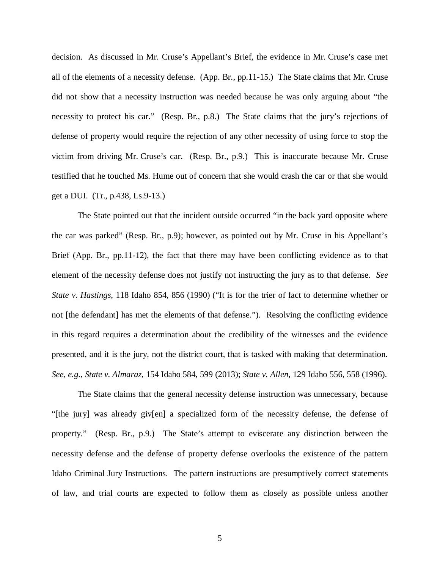decision. As discussed in Mr. Cruse's Appellant's Brief, the evidence in Mr. Cruse's case met all of the elements of a necessity defense. (App. Br., pp.11-15.) The State claims that Mr. Cruse did not show that a necessity instruction was needed because he was only arguing about "the necessity to protect his car." (Resp. Br., p.8.) The State claims that the jury's rejections of defense of property would require the rejection of any other necessity of using force to stop the victim from driving Mr. Cruse's car. (Resp. Br., p.9.) This is inaccurate because Mr. Cruse testified that he touched Ms. Hume out of concern that she would crash the car or that she would get a DUI. (Tr., p.438, Ls.9-13.)

The State pointed out that the incident outside occurred "in the back yard opposite where the car was parked" (Resp. Br., p.9); however, as pointed out by Mr. Cruse in his Appellant's Brief (App. Br., pp.11-12), the fact that there may have been conflicting evidence as to that element of the necessity defense does not justify not instructing the jury as to that defense. *See State v. Hastings*, 118 Idaho 854, 856 (1990) ("It is for the trier of fact to determine whether or not [the defendant] has met the elements of that defense."). Resolving the conflicting evidence in this regard requires a determination about the credibility of the witnesses and the evidence presented, and it is the jury, not the district court, that is tasked with making that determination. *See, e.g., State v. Almaraz*, 154 Idaho 584, 599 (2013); *State v. Allen*, 129 Idaho 556, 558 (1996).

The State claims that the general necessity defense instruction was unnecessary, because "[the jury] was already giv[en] a specialized form of the necessity defense, the defense of property." (Resp. Br., p.9.) The State's attempt to eviscerate any distinction between the necessity defense and the defense of property defense overlooks the existence of the pattern Idaho Criminal Jury Instructions. The pattern instructions are presumptively correct statements of law, and trial courts are expected to follow them as closely as possible unless another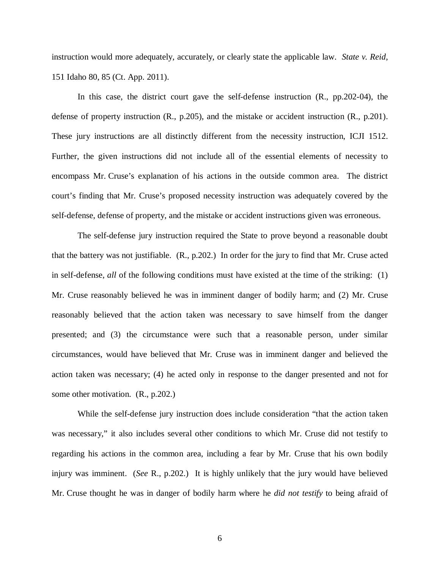instruction would more adequately, accurately, or clearly state the applicable law. *State v. Reid*, 151 Idaho 80, 85 (Ct. App. 2011).

In this case, the district court gave the self-defense instruction (R., pp.202-04), the defense of property instruction (R., p.205), and the mistake or accident instruction (R., p.201). These jury instructions are all distinctly different from the necessity instruction, ICJI 1512. Further, the given instructions did not include all of the essential elements of necessity to encompass Mr. Cruse's explanation of his actions in the outside common area. The district court's finding that Mr. Cruse's proposed necessity instruction was adequately covered by the self-defense, defense of property, and the mistake or accident instructions given was erroneous.

The self-defense jury instruction required the State to prove beyond a reasonable doubt that the battery was not justifiable. (R., p.202.) In order for the jury to find that Mr. Cruse acted in self-defense, *all* of the following conditions must have existed at the time of the striking: (1) Mr. Cruse reasonably believed he was in imminent danger of bodily harm; and (2) Mr. Cruse reasonably believed that the action taken was necessary to save himself from the danger presented; and (3) the circumstance were such that a reasonable person, under similar circumstances, would have believed that Mr. Cruse was in imminent danger and believed the action taken was necessary; (4) he acted only in response to the danger presented and not for some other motivation. (R., p.202.)

While the self-defense jury instruction does include consideration "that the action taken was necessary," it also includes several other conditions to which Mr. Cruse did not testify to regarding his actions in the common area, including a fear by Mr. Cruse that his own bodily injury was imminent. (*See* R., p.202.) It is highly unlikely that the jury would have believed Mr. Cruse thought he was in danger of bodily harm where he *did not testify* to being afraid of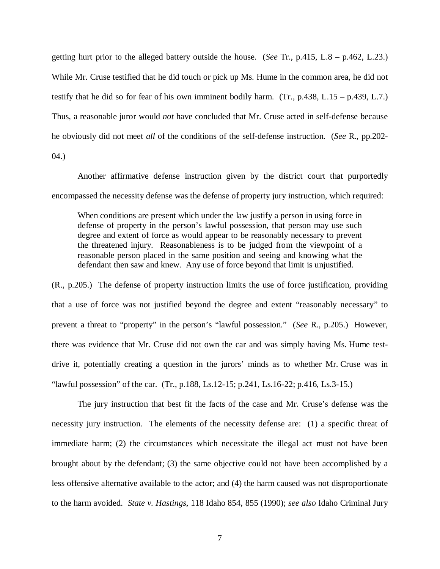getting hurt prior to the alleged battery outside the house. (*See* Tr., p.415, L.8 – p.462, L.23.) While Mr. Cruse testified that he did touch or pick up Ms. Hume in the common area, he did not testify that he did so for fear of his own imminent bodily harm. (Tr., p.438, L.15 – p.439, L.7.) Thus, a reasonable juror would *not* have concluded that Mr. Cruse acted in self-defense because he obviously did not meet *all* of the conditions of the self-defense instruction. (*See* R., pp.202-

04.)

Another affirmative defense instruction given by the district court that purportedly encompassed the necessity defense was the defense of property jury instruction, which required:

When conditions are present which under the law justify a person in using force in defense of property in the person's lawful possession, that person may use such degree and extent of force as would appear to be reasonably necessary to prevent the threatened injury. Reasonableness is to be judged from the viewpoint of a reasonable person placed in the same position and seeing and knowing what the defendant then saw and knew. Any use of force beyond that limit is unjustified.

(R., p.205.) The defense of property instruction limits the use of force justification, providing that a use of force was not justified beyond the degree and extent "reasonably necessary" to prevent a threat to "property" in the person's "lawful possession." (*See* R., p.205.) However, there was evidence that Mr. Cruse did not own the car and was simply having Ms. Hume testdrive it, potentially creating a question in the jurors' minds as to whether Mr. Cruse was in "lawful possession" of the car. (Tr., p.188, Ls.12-15; p.241, Ls.16-22; p.416, Ls.3-15.)

The jury instruction that best fit the facts of the case and Mr. Cruse's defense was the necessity jury instruction. The elements of the necessity defense are: (1) a specific threat of immediate harm; (2) the circumstances which necessitate the illegal act must not have been brought about by the defendant; (3) the same objective could not have been accomplished by a less offensive alternative available to the actor; and (4) the harm caused was not disproportionate to the harm avoided. *State v. Hastings*, 118 Idaho 854, 855 (1990); *see also* Idaho Criminal Jury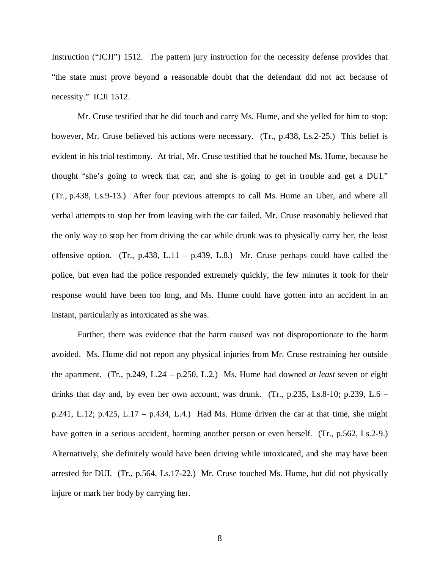Instruction ("ICJI") 1512. The pattern jury instruction for the necessity defense provides that "the state must prove beyond a reasonable doubt that the defendant did not act because of necessity." ICJI 1512.

Mr. Cruse testified that he did touch and carry Ms. Hume, and she yelled for him to stop; however, Mr. Cruse believed his actions were necessary. (Tr., p.438, Ls.2-25.) This belief is evident in his trial testimony. At trial, Mr. Cruse testified that he touched Ms. Hume, because he thought "she's going to wreck that car, and she is going to get in trouble and get a DUI." (Tr., p.438, Ls.9-13.) After four previous attempts to call Ms. Hume an Uber, and where all verbal attempts to stop her from leaving with the car failed, Mr. Cruse reasonably believed that the only way to stop her from driving the car while drunk was to physically carry her, the least offensive option. (Tr., p.438, L.11 – p.439, L.8.) Mr. Cruse perhaps could have called the police, but even had the police responded extremely quickly, the few minutes it took for their response would have been too long, and Ms. Hume could have gotten into an accident in an instant, particularly as intoxicated as she was.

Further, there was evidence that the harm caused was not disproportionate to the harm avoided. Ms. Hume did not report any physical injuries from Mr. Cruse restraining her outside the apartment. (Tr., p.249, L.24 – p.250, L.2.) Ms. Hume had downed *at least* seven or eight drinks that day and, by even her own account, was drunk. (Tr., p.235, Ls.8-10; p.239, L.6 – p.241, L.12; p.425, L.17 – p.434, L.4.) Had Ms. Hume driven the car at that time, she might have gotten in a serious accident, harming another person or even herself. (Tr., p.562, Ls.2-9.) Alternatively, she definitely would have been driving while intoxicated, and she may have been arrested for DUI. (Tr., p.564, Ls.17-22.) Mr. Cruse touched Ms. Hume, but did not physically injure or mark her body by carrying her.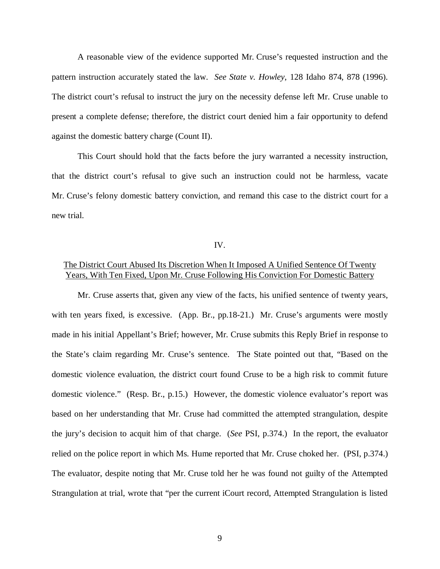A reasonable view of the evidence supported Mr. Cruse's requested instruction and the pattern instruction accurately stated the law. *See State v. Howley*, 128 Idaho 874, 878 (1996). The district court's refusal to instruct the jury on the necessity defense left Mr. Cruse unable to present a complete defense; therefore, the district court denied him a fair opportunity to defend against the domestic battery charge (Count II).

This Court should hold that the facts before the jury warranted a necessity instruction, that the district court's refusal to give such an instruction could not be harmless, vacate Mr. Cruse's felony domestic battery conviction, and remand this case to the district court for a new trial.

#### IV.

## The District Court Abused Its Discretion When It Imposed A Unified Sentence Of Twenty Years, With Ten Fixed, Upon Mr. Cruse Following His Conviction For Domestic Battery

Mr. Cruse asserts that, given any view of the facts, his unified sentence of twenty years, with ten years fixed, is excessive. (App. Br., pp.18-21.) Mr. Cruse's arguments were mostly made in his initial Appellant's Brief; however, Mr. Cruse submits this Reply Brief in response to the State's claim regarding Mr. Cruse's sentence. The State pointed out that, "Based on the domestic violence evaluation, the district court found Cruse to be a high risk to commit future domestic violence." (Resp. Br., p.15.) However, the domestic violence evaluator's report was based on her understanding that Mr. Cruse had committed the attempted strangulation, despite the jury's decision to acquit him of that charge. (*See* PSI, p.374.) In the report, the evaluator relied on the police report in which Ms. Hume reported that Mr. Cruse choked her. (PSI, p.374.) The evaluator, despite noting that Mr. Cruse told her he was found not guilty of the Attempted Strangulation at trial, wrote that "per the current iCourt record, Attempted Strangulation is listed